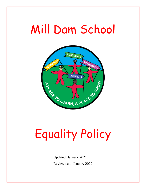# Mill Dam School



# Equality Policy

Updated: January 2021 Review date: January 2022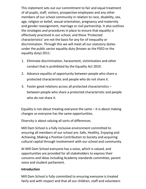This statement sets out our commitment to fair and equal treatment of all pupils, staff, visitors, prospective employees and any other members of our school community in relation to race, disability, sex, age, religion or belief, sexual orientation, pregnancy and maternity and gender reassignment, marriage or civil partnership. It also outlines the strategies and procedures in place to ensure that equality is effectively practiced in our school, and these 'Protected characteristics' are not the basis for any for of inequality or discrimination. Through this we will meet all our statutory duties under the public sector equality duty (known as the PSED or the equality duty) 2011:

- 1. Eliminate discrimination, harassment, victimisation and other conduct that is prohibited by the Equality Act 2010.
- 2. Advance equality of opportunity between people who share a protected characteristic and people who do not share it.
- 3. Foster good relations across all protected characteristics between people who share a protected characteristic and people who do not share it.

Equality is not about treating everyone the same – it is about making changes so everyone has the same opportunities.

Diversity is about valuing all sorts of differences.

Mill Dam School is a fully inclusive environment committed to ensuring all members of our school are: Safe, Healthy, Enjoying and Achieving, Making a Positive Contribution to Society and acquiring cultural capital through involvement with our school and community.

At Mill Dam School everyone has a voice, which is valued, and opportunities are provided for all stakeholders to express their concerns and ideas including Academy standards committee, parent voice and student parliament.

## **Introduction**

Mill Dam School is fully committed to ensuring everyone is treated fairly and with respect and that all our children, staff and volunteers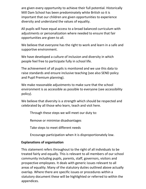are given every opportunity to achieve their full potential. Historically Mill Dam School has been predominately white British so it is important that our children are given opportunities to experience diversity and understand the values of equality.

All pupils will have equal access to a broad balanced curriculum with adjustments or personalization where needed to ensure that fair opportunities are given to all.

We believe that everyone has the right to work and learn in a safe and supportive environment.

We have developed a culture of inclusion and diversity in which people feel free to participate fully in school life.

The achievement of all pupils is monitored and we use this data to raise standards and ensure inclusive teaching (see also SEND policy and Pupil Premium planning).

We make reasonable adjustments to make sure that the school environment is as accessible as possible to everyone (see accessibility policy).

We believe that diversity is a strength which should be respected and celebrated by all those who learn, teach and visit here.

Through these steps we will meet our duty to:

Remove or minimise disadvantages

Take steps to meet different needs

Encourage participation when it is disproportionately low.

#### **Explanations of organisation**

This statement refers throughout to the right of all individuals to be treated fairly and equally. This is relevant to all members of our school community including pupils, parents, staff, governors, visitors and prospective employees. It deals with generic issues relevant to all areas of equality. Many of the statutory duties outlined above actually overlap. Where there are specific issues or procedures within a statutory document these will be highlighted or referred to within the appendices.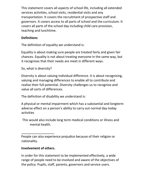This statement covers all aspects of school life, including all extended services activities, school visits, residential visits and any transportation. It covers the recruitment of prospective staff and governors. It covers access to all parts of school and the curriculum. It covers all parts of the school day including child care provision, teaching and lunchtime.

## **Definitions**

The definition of equality we understand is:

Equality is about making sure people are treated fairly and given fair chances. Equality is not about treating everyone in the same way, but it recognises that their needs are meet in different ways.

So, what is diversity?

Diversity is about valuing individual difference. It is about recognising, valuing and managing differences to enable all to contribute and realise their full potential. Diversity challenges us to recognise and value all sorts of differences.

The definition of disability we understand is:

A physical or mental impairment which has a substantial and longterm adverse effect on a person's ability to carry out normal day-today activities

This would also include long term medical conditions or illness and mental health.

People can also experience prejudice because of their religion or nationality.

#### **Involvement of others.**

In order for this statement to be implemented effectively, a wide range of people need to be involved and aware of the objectives of the policy: Pupils, staff, parents, governors and service users.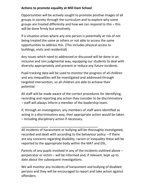#### **Actions to promote equality at Mill Dam School**

Opportunities will be actively sought to promote positive images of all groups in society through the curriculum and to explore why some groups are treated differently and how we can respond to this – this will be done firmly but sensitively.

If a situation arises where any one person is potentially at risk of not being treated the same as others or not able to access the same opportunities to address this. (This includes physical access to buildings, visits and residential)

Any issues which need to addressed or discussed will be done in an inclusive and non judgmental way, equipping our students to deal with diversity appropriately and prevent or reduce any future incidents.

Pupil tracking data will be used to monitor the progress of all children and any inequalities will be investigated and addressed through targeted intervention, so all children are able to achieve their potential.

All staff will be made aware of the correct procedures for identifying, recording and reporting any action they consider to be discriminatory – staff will always inform a member of the leadership team.

If, through an investigation, any members of staff were identified as acting in a discriminatory way, then appropriate action would be taken – including disciplinary action if necessary.

All incidents of harassment or bullying will be thoroughly investigated, recorded and dealt with according to the behaviour policy – if there are any concerns regarding disability, racism or inequality these will be reported to the appropriate body within the MAT and DSL.

Parents of any pupils involved in any of the incidents outlined above – perpetrator or victim – will be informed and, if relevant, kept up to date about the subsequent investigations.

We will monitor any incidents of harassment and bullying of disabled persons and they will be encouraged to report and take action against offenders.